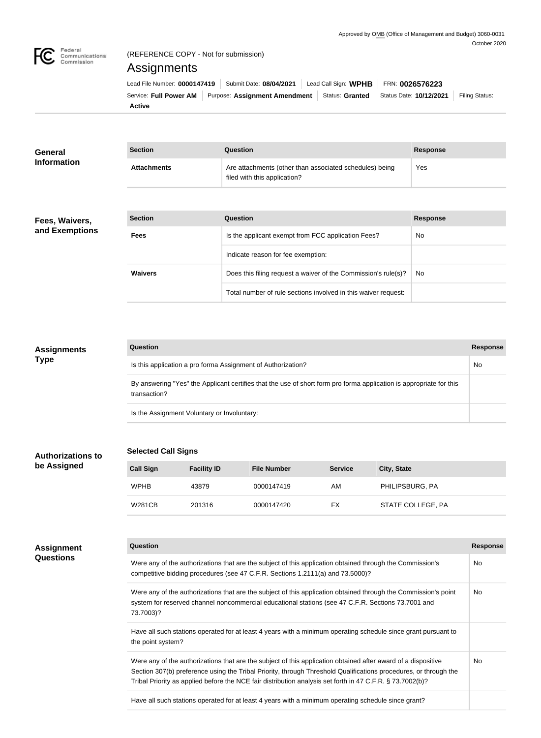

### (REFERENCE COPY - Not for submission)

# Assignments

| Lead File Number: 0000147419   Submit Date: 08/04/2021 |                                                                                                    | Lead Call Sign: WPHB | FRN: 0026576223 |                       |
|--------------------------------------------------------|----------------------------------------------------------------------------------------------------|----------------------|-----------------|-----------------------|
|                                                        | Service: Full Power AM   Purpose: Assignment Amendment   Status: Granted   Status Date: 10/12/2021 |                      |                 | <b>Filing Status:</b> |
| Active                                                 |                                                                                                    |                      |                 |                       |

| <b>General</b><br><b>Information</b> | <b>Section</b>     | Question                                                                                | <b>Response</b><br>Yes |  |
|--------------------------------------|--------------------|-----------------------------------------------------------------------------------------|------------------------|--|
|                                      | <b>Attachments</b> | Are attachments (other than associated schedules) being<br>filed with this application? |                        |  |

#### **Fees, Waivers, and Exemptions**

| <b>Section</b> | Question                                                       | <b>Response</b> |
|----------------|----------------------------------------------------------------|-----------------|
| <b>Fees</b>    | Is the applicant exempt from FCC application Fees?             | <b>No</b>       |
|                | Indicate reason for fee exemption:                             |                 |
| <b>Waivers</b> | Does this filing request a waiver of the Commission's rule(s)? | No.             |
|                | Total number of rule sections involved in this waiver request: |                 |

# **Assignments Type**

| Question                                                                                                                            | <b>Response</b> |
|-------------------------------------------------------------------------------------------------------------------------------------|-----------------|
| Is this application a pro forma Assignment of Authorization?                                                                        | No              |
| By answering "Yes" the Applicant certifies that the use of short form pro forma application is appropriate for this<br>transaction? |                 |
| Is the Assignment Voluntary or Involuntary:                                                                                         |                 |

**Authorizations to be Assigned**

### **Selected Call Signs**

| <b>Call Sign</b> | <b>Facility ID</b> | <b>File Number</b> | <b>Service</b> | <b>City, State</b> |
|------------------|--------------------|--------------------|----------------|--------------------|
| <b>WPHB</b>      | 43879              | 0000147419         | AM             | PHILIPSBURG, PA    |
| W281CB           | 201316             | 0000147420         | FX             | STATE COLLEGE, PA  |

| <b>Assignment</b><br><b>Questions</b> | <b>Question</b>                                                                                                                                                                                                                                                                                                                                | Response  |
|---------------------------------------|------------------------------------------------------------------------------------------------------------------------------------------------------------------------------------------------------------------------------------------------------------------------------------------------------------------------------------------------|-----------|
|                                       | Were any of the authorizations that are the subject of this application obtained through the Commission's<br>competitive bidding procedures (see 47 C.F.R. Sections 1.2111(a) and 73.5000)?                                                                                                                                                    | <b>No</b> |
|                                       | Were any of the authorizations that are the subject of this application obtained through the Commission's point<br>system for reserved channel noncommercial educational stations (see 47 C.F.R. Sections 73.7001 and<br>73.7003)?                                                                                                             | <b>No</b> |
|                                       | Have all such stations operated for at least 4 years with a minimum operating schedule since grant pursuant to<br>the point system?                                                                                                                                                                                                            |           |
|                                       | Were any of the authorizations that are the subject of this application obtained after award of a dispositive<br>Section 307(b) preference using the Tribal Priority, through Threshold Qualifications procedures, or through the<br>Tribal Priority as applied before the NCE fair distribution analysis set forth in 47 C.F.R. § 73.7002(b)? | No        |
|                                       | Have all such stations operated for at least 4 years with a minimum operating schedule since grant?                                                                                                                                                                                                                                            |           |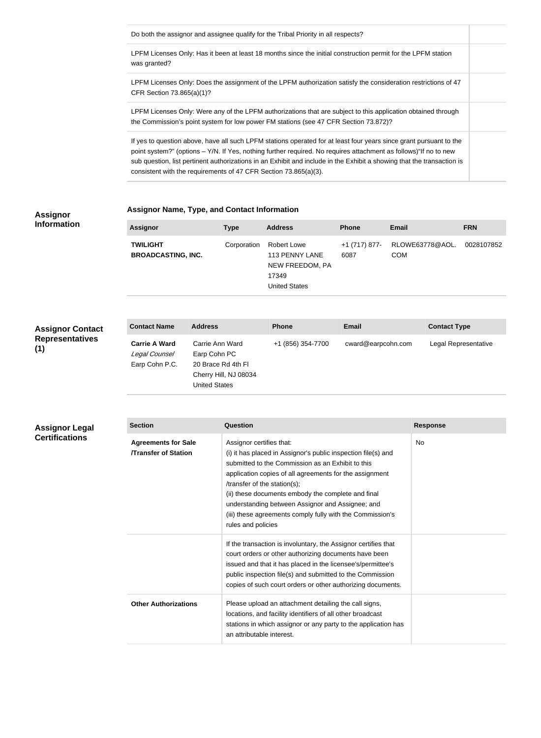| Do both the assignor and assignee qualify for the Tribal Priority in all respects?                                                                                                                                                                                                                                                                                                                                                    |
|---------------------------------------------------------------------------------------------------------------------------------------------------------------------------------------------------------------------------------------------------------------------------------------------------------------------------------------------------------------------------------------------------------------------------------------|
| LPFM Licenses Only: Has it been at least 18 months since the initial construction permit for the LPFM station<br>was granted?                                                                                                                                                                                                                                                                                                         |
| LPFM Licenses Only: Does the assignment of the LPFM authorization satisfy the consideration restrictions of 47<br>CFR Section $73.865(a)(1)?$                                                                                                                                                                                                                                                                                         |
| LPFM Licenses Only: Were any of the LPFM authorizations that are subject to this application obtained through<br>the Commission's point system for low power FM stations (see 47 CFR Section 73.872)?                                                                                                                                                                                                                                 |
| If yes to question above, have all such LPFM stations operated for at least four years since grant pursuant to the<br>point system?" (options – Y/N. If Yes, nothing further required. No requires attachment as follows) "If no to new<br>sub question, list pertinent authorizations in an Exhibit and include in the Exhibit a showing that the transaction is<br>consistent with the requirements of 47 CFR Section 73.865(a)(3). |

#### **Assignor Information**

## **Assignor Name, Type, and Contact Information**

| <b>Assignor</b>                              | <b>Type</b> | <b>Address</b>                                                                    | <b>Phone</b>          | <b>Email</b>                  | <b>FRN</b> |
|----------------------------------------------|-------------|-----------------------------------------------------------------------------------|-----------------------|-------------------------------|------------|
| <b>TWILIGHT</b><br><b>BROADCASTING, INC.</b> | Corporation | Robert Lowe<br>113 PENNY LANE<br>NEW FREEDOM, PA<br>17349<br><b>United States</b> | +1 (717) 877-<br>6087 | RLOWE63778@AOL.<br><b>COM</b> | 0028107852 |

**Assignor Contact Representatives (1)**

| <b>Contact Name</b>                                     | <b>Address</b>                                                                                         | <b>Phone</b>      | Email              | <b>Contact Type</b>  |
|---------------------------------------------------------|--------------------------------------------------------------------------------------------------------|-------------------|--------------------|----------------------|
| <b>Carrie A Ward</b><br>Legal Counsel<br>Earp Cohn P.C. | Carrie Ann Ward<br>Earp Cohn PC<br>20 Brace Rd 4th FI<br>Cherry Hill, NJ 08034<br><b>United States</b> | +1 (856) 354-7700 | cward@earpcohn.com | Legal Representative |

| Assignor Legal<br><b>Certifications</b> | <b>Section</b>                                           | Question                                                                                                                                                                                                                                                                                                                                                                                                                               | <b>Response</b> |
|-----------------------------------------|----------------------------------------------------------|----------------------------------------------------------------------------------------------------------------------------------------------------------------------------------------------------------------------------------------------------------------------------------------------------------------------------------------------------------------------------------------------------------------------------------------|-----------------|
|                                         | <b>Agreements for Sale</b><br><b>Transfer of Station</b> | Assignor certifies that:<br>(i) it has placed in Assignor's public inspection file(s) and<br>submitted to the Commission as an Exhibit to this<br>application copies of all agreements for the assignment<br>/transfer of the station(s);<br>(ii) these documents embody the complete and final<br>understanding between Assignor and Assignee; and<br>(iii) these agreements comply fully with the Commission's<br>rules and policies | No              |
|                                         |                                                          | If the transaction is involuntary, the Assignor certifies that<br>court orders or other authorizing documents have been<br>issued and that it has placed in the licensee's/permittee's<br>public inspection file(s) and submitted to the Commission<br>copies of such court orders or other authorizing documents.                                                                                                                     |                 |
|                                         | <b>Other Authorizations</b>                              | Please upload an attachment detailing the call signs,<br>locations, and facility identifiers of all other broadcast<br>stations in which assignor or any party to the application has<br>an attributable interest.                                                                                                                                                                                                                     |                 |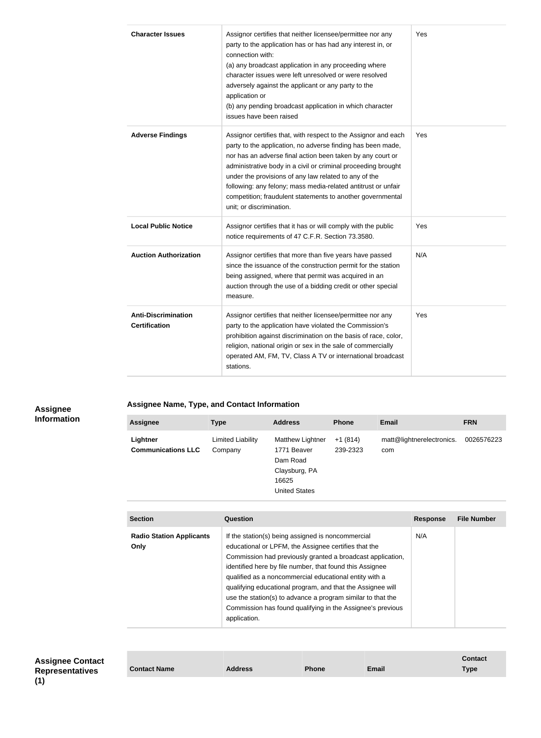| <b>Character Issues</b>                            | Assignor certifies that neither licensee/permittee nor any<br>party to the application has or has had any interest in, or<br>connection with:<br>(a) any broadcast application in any proceeding where<br>character issues were left unresolved or were resolved<br>adversely against the applicant or any party to the<br>application or<br>(b) any pending broadcast application in which character<br>issues have been raised                                                 | Yes |
|----------------------------------------------------|----------------------------------------------------------------------------------------------------------------------------------------------------------------------------------------------------------------------------------------------------------------------------------------------------------------------------------------------------------------------------------------------------------------------------------------------------------------------------------|-----|
| <b>Adverse Findings</b>                            | Assignor certifies that, with respect to the Assignor and each<br>party to the application, no adverse finding has been made,<br>nor has an adverse final action been taken by any court or<br>administrative body in a civil or criminal proceeding brought<br>under the provisions of any law related to any of the<br>following: any felony; mass media-related antitrust or unfair<br>competition; fraudulent statements to another governmental<br>unit; or discrimination. | Yes |
| <b>Local Public Notice</b>                         | Assignor certifies that it has or will comply with the public<br>notice requirements of 47 C.F.R. Section 73.3580.                                                                                                                                                                                                                                                                                                                                                               | Yes |
| <b>Auction Authorization</b>                       | Assignor certifies that more than five years have passed<br>since the issuance of the construction permit for the station<br>being assigned, where that permit was acquired in an<br>auction through the use of a bidding credit or other special<br>measure.                                                                                                                                                                                                                    | N/A |
| <b>Anti-Discrimination</b><br><b>Certification</b> | Assignor certifies that neither licensee/permittee nor any<br>party to the application have violated the Commission's<br>prohibition against discrimination on the basis of race, color,<br>religion, national origin or sex in the sale of commercially<br>operated AM, FM, TV, Class A TV or international broadcast<br>stations.                                                                                                                                              | Yes |

#### **Assignee Information**

## **Assignee Name, Type, and Contact Information**

| <b>Assignee</b>                       | <b>Type</b>                         | <b>Address</b>                                                                                | <b>Phone</b>          | <b>Email</b>                     | <b>FRN</b> |
|---------------------------------------|-------------------------------------|-----------------------------------------------------------------------------------------------|-----------------------|----------------------------------|------------|
| Lightner<br><b>Communications LLC</b> | <b>Limited Liability</b><br>Company | Matthew Lightner<br>1771 Beaver<br>Dam Road<br>Claysburg, PA<br>16625<br><b>United States</b> | $+1(814)$<br>239-2323 | matt@lightnerelectronics.<br>com | 0026576223 |

| <b>Section</b>                          | Question                                                                                                                                                                                                                                                                                                                                                                                                                                                                                                 | <b>Response</b> | <b>File Number</b> |
|-----------------------------------------|----------------------------------------------------------------------------------------------------------------------------------------------------------------------------------------------------------------------------------------------------------------------------------------------------------------------------------------------------------------------------------------------------------------------------------------------------------------------------------------------------------|-----------------|--------------------|
| <b>Radio Station Applicants</b><br>Only | If the station(s) being assigned is noncommercial<br>educational or LPFM, the Assignee certifies that the<br>Commission had previously granted a broadcast application,<br>identified here by file number, that found this Assignee<br>qualified as a noncommercial educational entity with a<br>qualifying educational program, and that the Assignee will<br>use the station(s) to advance a program similar to that the<br>Commission has found qualifying in the Assignee's previous<br>application. | N/A             |                    |

| <b>Assignee Contact</b><br><b>Representatives</b> | <b>Contact</b> |
|---------------------------------------------------|----------------|
| 71 N                                              |                |

| <b>Contact Name</b> | Address | <b>Phone</b> | <b>Email</b> | Type |
|---------------------|---------|--------------|--------------|------|
|                     |         |              |              |      |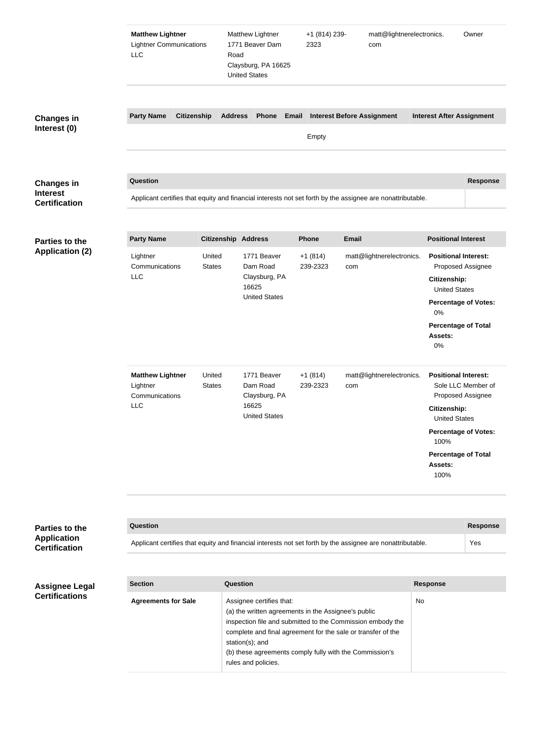|                                                | <b>Matthew Lightner</b><br><b>Lightner Communications</b><br><b>LLC</b> |                                                                                                            | Road            | Matthew Lightner<br>1771 Beaver Dam<br>Claysburg, PA 16625<br><b>United States</b>                                                                                                                                               |       | +1 (814) 239-<br>2323             |              | matt@lightnerelectronics.<br>com |    |                                                                                                                              | Owner                                                                  |
|------------------------------------------------|-------------------------------------------------------------------------|------------------------------------------------------------------------------------------------------------|-----------------|----------------------------------------------------------------------------------------------------------------------------------------------------------------------------------------------------------------------------------|-------|-----------------------------------|--------------|----------------------------------|----|------------------------------------------------------------------------------------------------------------------------------|------------------------------------------------------------------------|
| <b>Changes in</b>                              | <b>Party Name</b>                                                       | <b>Citizenship</b>                                                                                         | <b>Address</b>  | Phone                                                                                                                                                                                                                            | Email | <b>Interest Before Assignment</b> |              |                                  |    |                                                                                                                              | <b>Interest After Assignment</b>                                       |
| Interest (0)                                   |                                                                         |                                                                                                            |                 |                                                                                                                                                                                                                                  |       | Empty                             |              |                                  |    |                                                                                                                              |                                                                        |
| <b>Changes in</b>                              | Question                                                                |                                                                                                            |                 |                                                                                                                                                                                                                                  |       |                                   |              |                                  |    |                                                                                                                              | <b>Response</b>                                                        |
| <b>Interest</b><br><b>Certification</b>        |                                                                         | Applicant certifies that equity and financial interests not set forth by the assignee are nonattributable. |                 |                                                                                                                                                                                                                                  |       |                                   |              |                                  |    |                                                                                                                              |                                                                        |
|                                                |                                                                         |                                                                                                            |                 |                                                                                                                                                                                                                                  |       |                                   |              |                                  |    |                                                                                                                              |                                                                        |
| <b>Parties to the</b>                          | <b>Party Name</b>                                                       |                                                                                                            |                 | <b>Citizenship Address</b>                                                                                                                                                                                                       |       | <b>Phone</b>                      | <b>Email</b> |                                  |    | <b>Positional Interest</b>                                                                                                   |                                                                        |
| <b>Application (2)</b>                         | Lightner<br>Communications<br><b>LLC</b>                                | United<br><b>States</b>                                                                                    |                 | 1771 Beaver<br>Dam Road<br>Claysburg, PA<br>16625<br><b>United States</b>                                                                                                                                                        |       | $+1(814)$<br>239-2323             | com          | matt@lightnerelectronics.        |    | <b>Positional Interest:</b><br>Citizenship:<br><b>United States</b><br>0%<br><b>Percentage of Total</b><br>Assets:<br>0%     | Proposed Assignee<br><b>Percentage of Votes:</b>                       |
|                                                | <b>Matthew Lightner</b><br>Lightner<br>Communications<br><b>LLC</b>     | United<br><b>States</b>                                                                                    |                 | 1771 Beaver<br>Dam Road<br>Claysburg, PA<br>16625<br><b>United States</b>                                                                                                                                                        |       | $+1(814)$<br>239-2323             | com          | matt@lightnerelectronics.        |    | <b>Positional Interest:</b><br>Citizenship:<br><b>United States</b><br>100%<br><b>Percentage of Total</b><br>Assets:<br>100% | Sole LLC Member of<br>Proposed Assignee<br><b>Percentage of Votes:</b> |
|                                                |                                                                         |                                                                                                            |                 |                                                                                                                                                                                                                                  |       |                                   |              |                                  |    |                                                                                                                              |                                                                        |
| <b>Parties to the</b><br><b>Application</b>    | Question                                                                |                                                                                                            |                 |                                                                                                                                                                                                                                  |       |                                   |              |                                  |    |                                                                                                                              | <b>Response</b>                                                        |
| <b>Certification</b>                           |                                                                         | Applicant certifies that equity and financial interests not set forth by the assignee are nonattributable. |                 |                                                                                                                                                                                                                                  |       |                                   |              |                                  |    |                                                                                                                              | Yes                                                                    |
|                                                |                                                                         |                                                                                                            |                 |                                                                                                                                                                                                                                  |       |                                   |              |                                  |    |                                                                                                                              |                                                                        |
| <b>Assignee Legal</b><br><b>Certifications</b> | <b>Section</b>                                                          |                                                                                                            | <b>Question</b> |                                                                                                                                                                                                                                  |       |                                   |              |                                  |    | <b>Response</b>                                                                                                              |                                                                        |
|                                                | <b>Agreements for Sale</b>                                              |                                                                                                            |                 | Assignee certifies that:<br>(a) the written agreements in the Assignee's public<br>inspection file and submitted to the Commission embody the<br>complete and final agreement for the sale or transfer of the<br>station(s); and |       |                                   |              |                                  | No |                                                                                                                              |                                                                        |

(b) these agreements comply fully with the Commission's

rules and policies.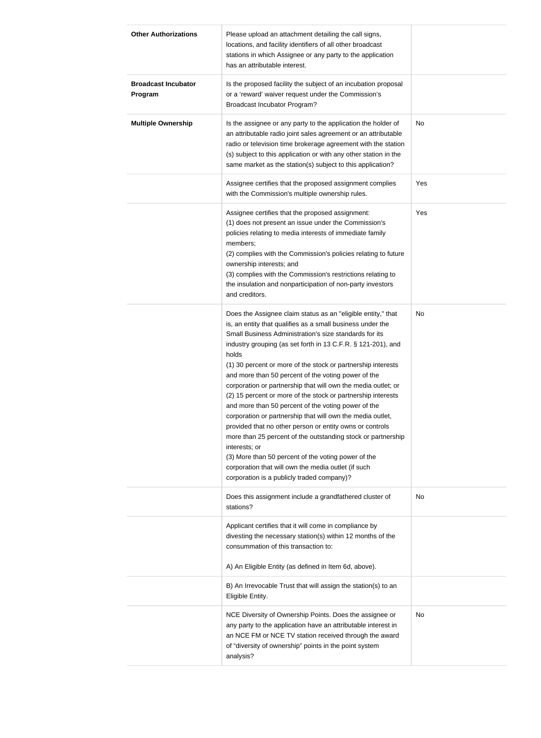| <b>Other Authorizations</b>           | Please upload an attachment detailing the call signs,<br>locations, and facility identifiers of all other broadcast<br>stations in which Assignee or any party to the application<br>has an attributable interest.                                                                                                                                                                                                                                                                                                                                                                                                                                                                                                                                                                                                                                                                                                                                  |           |
|---------------------------------------|-----------------------------------------------------------------------------------------------------------------------------------------------------------------------------------------------------------------------------------------------------------------------------------------------------------------------------------------------------------------------------------------------------------------------------------------------------------------------------------------------------------------------------------------------------------------------------------------------------------------------------------------------------------------------------------------------------------------------------------------------------------------------------------------------------------------------------------------------------------------------------------------------------------------------------------------------------|-----------|
| <b>Broadcast Incubator</b><br>Program | Is the proposed facility the subject of an incubation proposal<br>or a 'reward' waiver request under the Commission's<br><b>Broadcast Incubator Program?</b>                                                                                                                                                                                                                                                                                                                                                                                                                                                                                                                                                                                                                                                                                                                                                                                        |           |
| <b>Multiple Ownership</b>             | Is the assignee or any party to the application the holder of<br>an attributable radio joint sales agreement or an attributable<br>radio or television time brokerage agreement with the station<br>(s) subject to this application or with any other station in the<br>same market as the station(s) subject to this application?                                                                                                                                                                                                                                                                                                                                                                                                                                                                                                                                                                                                                  | <b>No</b> |
|                                       | Assignee certifies that the proposed assignment complies<br>with the Commission's multiple ownership rules.                                                                                                                                                                                                                                                                                                                                                                                                                                                                                                                                                                                                                                                                                                                                                                                                                                         | Yes       |
|                                       | Assignee certifies that the proposed assignment:<br>(1) does not present an issue under the Commission's<br>policies relating to media interests of immediate family<br>members;<br>(2) complies with the Commission's policies relating to future<br>ownership interests; and<br>(3) complies with the Commission's restrictions relating to<br>the insulation and nonparticipation of non-party investors<br>and creditors.                                                                                                                                                                                                                                                                                                                                                                                                                                                                                                                       | Yes       |
|                                       | Does the Assignee claim status as an "eligible entity," that<br>is, an entity that qualifies as a small business under the<br>Small Business Administration's size standards for its<br>industry grouping (as set forth in 13 C.F.R. § 121-201), and<br>holds<br>(1) 30 percent or more of the stock or partnership interests<br>and more than 50 percent of the voting power of the<br>corporation or partnership that will own the media outlet; or<br>(2) 15 percent or more of the stock or partnership interests<br>and more than 50 percent of the voting power of the<br>corporation or partnership that will own the media outlet,<br>provided that no other person or entity owns or controls<br>more than 25 percent of the outstanding stock or partnership<br>interests; or<br>(3) More than 50 percent of the voting power of the<br>corporation that will own the media outlet (if such<br>corporation is a publicly traded company)? | No        |
|                                       | Does this assignment include a grandfathered cluster of<br>stations?                                                                                                                                                                                                                                                                                                                                                                                                                                                                                                                                                                                                                                                                                                                                                                                                                                                                                | No        |
|                                       | Applicant certifies that it will come in compliance by<br>divesting the necessary station(s) within 12 months of the<br>consummation of this transaction to:                                                                                                                                                                                                                                                                                                                                                                                                                                                                                                                                                                                                                                                                                                                                                                                        |           |
|                                       | A) An Eligible Entity (as defined in Item 6d, above).                                                                                                                                                                                                                                                                                                                                                                                                                                                                                                                                                                                                                                                                                                                                                                                                                                                                                               |           |
|                                       | B) An Irrevocable Trust that will assign the station(s) to an<br>Eligible Entity.                                                                                                                                                                                                                                                                                                                                                                                                                                                                                                                                                                                                                                                                                                                                                                                                                                                                   |           |
|                                       | NCE Diversity of Ownership Points. Does the assignee or<br>any party to the application have an attributable interest in<br>an NCE FM or NCE TV station received through the award<br>of "diversity of ownership" points in the point system<br>analysis?                                                                                                                                                                                                                                                                                                                                                                                                                                                                                                                                                                                                                                                                                           | No        |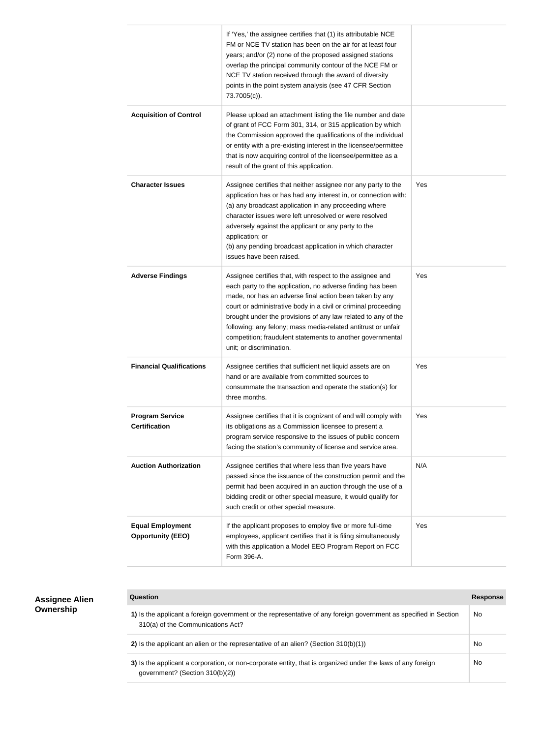|                                                     | If 'Yes,' the assignee certifies that (1) its attributable NCE<br>FM or NCE TV station has been on the air for at least four<br>years; and/or (2) none of the proposed assigned stations<br>overlap the principal community contour of the NCE FM or<br>NCE TV station received through the award of diversity<br>points in the point system analysis (see 47 CFR Section<br>73.7005(c)).                                                                                        |     |
|-----------------------------------------------------|----------------------------------------------------------------------------------------------------------------------------------------------------------------------------------------------------------------------------------------------------------------------------------------------------------------------------------------------------------------------------------------------------------------------------------------------------------------------------------|-----|
| <b>Acquisition of Control</b>                       | Please upload an attachment listing the file number and date<br>of grant of FCC Form 301, 314, or 315 application by which<br>the Commission approved the qualifications of the individual<br>or entity with a pre-existing interest in the licensee/permittee<br>that is now acquiring control of the licensee/permittee as a<br>result of the grant of this application.                                                                                                       |     |
| <b>Character Issues</b>                             | Assignee certifies that neither assignee nor any party to the<br>application has or has had any interest in, or connection with:<br>(a) any broadcast application in any proceeding where<br>character issues were left unresolved or were resolved<br>adversely against the applicant or any party to the<br>application; or<br>(b) any pending broadcast application in which character<br>issues have been raised.                                                            | Yes |
| <b>Adverse Findings</b>                             | Assignee certifies that, with respect to the assignee and<br>each party to the application, no adverse finding has been<br>made, nor has an adverse final action been taken by any<br>court or administrative body in a civil or criminal proceeding<br>brought under the provisions of any law related to any of the<br>following: any felony; mass media-related antitrust or unfair<br>competition; fraudulent statements to another governmental<br>unit; or discrimination. | Yes |
| <b>Financial Qualifications</b>                     | Assignee certifies that sufficient net liquid assets are on<br>hand or are available from committed sources to<br>consummate the transaction and operate the station(s) for<br>three months.                                                                                                                                                                                                                                                                                     | Yes |
| <b>Program Service</b><br><b>Certification</b>      | Assignee certifies that it is cognizant of and will comply with<br>its obligations as a Commission licensee to present a<br>program service responsive to the issues of public concern<br>facing the station's community of license and service area.                                                                                                                                                                                                                            | Yes |
| <b>Auction Authorization</b>                        | Assignee certifies that where less than five years have<br>passed since the issuance of the construction permit and the<br>permit had been acquired in an auction through the use of a<br>bidding credit or other special measure, it would qualify for<br>such credit or other special measure.                                                                                                                                                                                 | N/A |
| <b>Equal Employment</b><br><b>Opportunity (EEO)</b> | If the applicant proposes to employ five or more full-time<br>employees, applicant certifies that it is filing simultaneously<br>with this application a Model EEO Program Report on FCC<br>Form 396-A.                                                                                                                                                                                                                                                                          | Yes |

| <b>Assignee Alien</b><br>Ownership | Question                                                                                                                                              | Response |
|------------------------------------|-------------------------------------------------------------------------------------------------------------------------------------------------------|----------|
|                                    | 1) Is the applicant a foreign government or the representative of any foreign government as specified in Section<br>310(a) of the Communications Act? | No       |
|                                    | 2) Is the applicant an alien or the representative of an alien? (Section $310(b)(1)$ )                                                                | No       |
|                                    | 3) Is the applicant a corporation, or non-corporate entity, that is organized under the laws of any foreign<br>government? (Section 310(b)(2))        | No       |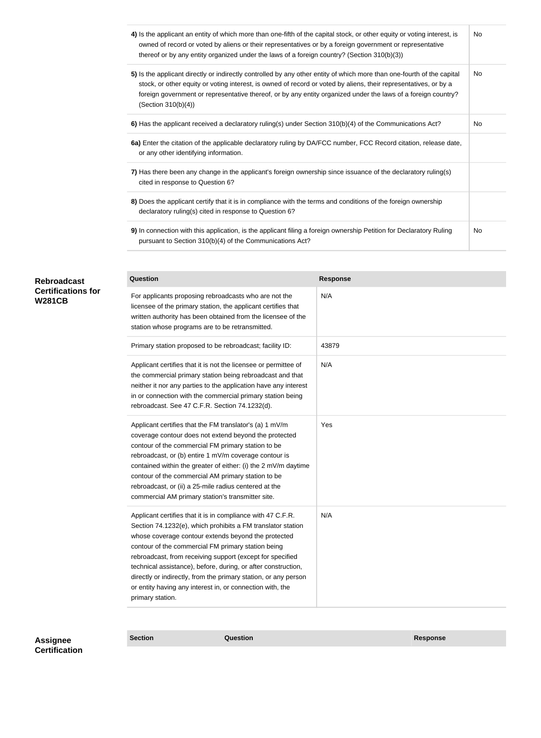| 4) Is the applicant an entity of which more than one-fifth of the capital stock, or other equity or voting interest, is<br>owned of record or voted by aliens or their representatives or by a foreign government or representative<br>thereof or by any entity organized under the laws of a foreign country? (Section 310(b)(3))                                                 | No.       |
|------------------------------------------------------------------------------------------------------------------------------------------------------------------------------------------------------------------------------------------------------------------------------------------------------------------------------------------------------------------------------------|-----------|
| 5) Is the applicant directly or indirectly controlled by any other entity of which more than one-fourth of the capital<br>stock, or other equity or voting interest, is owned of record or voted by aliens, their representatives, or by a<br>foreign government or representative thereof, or by any entity organized under the laws of a foreign country?<br>(Section 310(b)(4)) | <b>No</b> |
| 6) Has the applicant received a declaratory ruling(s) under Section 310(b)(4) of the Communications Act?                                                                                                                                                                                                                                                                           | No        |
| 6a) Enter the citation of the applicable declaratory ruling by DA/FCC number, FCC Record citation, release date,<br>or any other identifying information.                                                                                                                                                                                                                          |           |
| 7) Has there been any change in the applicant's foreign ownership since issuance of the declaratory ruling(s)<br>cited in response to Question 6?                                                                                                                                                                                                                                  |           |
| 8) Does the applicant certify that it is in compliance with the terms and conditions of the foreign ownership<br>declaratory ruling(s) cited in response to Question 6?                                                                                                                                                                                                            |           |
| 9) In connection with this application, is the applicant filing a foreign ownership Petition for Declaratory Ruling<br>pursuant to Section 310(b)(4) of the Communications Act?                                                                                                                                                                                                    | No.       |

| <b>Rebroadcast</b><br><b>Certifications for</b><br><b>W281CB</b> | <b>Question</b>                                                                                                                                                                                                                                                                                                                                                                                                                                                                                                           | <b>Response</b> |
|------------------------------------------------------------------|---------------------------------------------------------------------------------------------------------------------------------------------------------------------------------------------------------------------------------------------------------------------------------------------------------------------------------------------------------------------------------------------------------------------------------------------------------------------------------------------------------------------------|-----------------|
|                                                                  | For applicants proposing rebroadcasts who are not the<br>licensee of the primary station, the applicant certifies that<br>written authority has been obtained from the licensee of the<br>station whose programs are to be retransmitted.                                                                                                                                                                                                                                                                                 | N/A             |
|                                                                  | Primary station proposed to be rebroadcast; facility ID:                                                                                                                                                                                                                                                                                                                                                                                                                                                                  | 43879           |
|                                                                  | Applicant certifies that it is not the licensee or permittee of<br>the commercial primary station being rebroadcast and that<br>neither it nor any parties to the application have any interest<br>in or connection with the commercial primary station being<br>rebroadcast. See 47 C.F.R. Section 74.1232(d).                                                                                                                                                                                                           | N/A             |
|                                                                  | Applicant certifies that the FM translator's (a) 1 mV/m<br>coverage contour does not extend beyond the protected<br>contour of the commercial FM primary station to be<br>rebroadcast, or (b) entire 1 mV/m coverage contour is<br>contained within the greater of either: (i) the 2 mV/m daytime<br>contour of the commercial AM primary station to be<br>rebroadcast, or (ii) a 25-mile radius centered at the<br>commercial AM primary station's transmitter site.                                                     | Yes             |
|                                                                  | Applicant certifies that it is in compliance with 47 C.F.R.<br>Section 74.1232(e), which prohibits a FM translator station<br>whose coverage contour extends beyond the protected<br>contour of the commercial FM primary station being<br>rebroadcast, from receiving support (except for specified<br>technical assistance), before, during, or after construction,<br>directly or indirectly, from the primary station, or any person<br>or entity having any interest in, or connection with, the<br>primary station. | N/A             |

**Assignee Section Question Response Certification**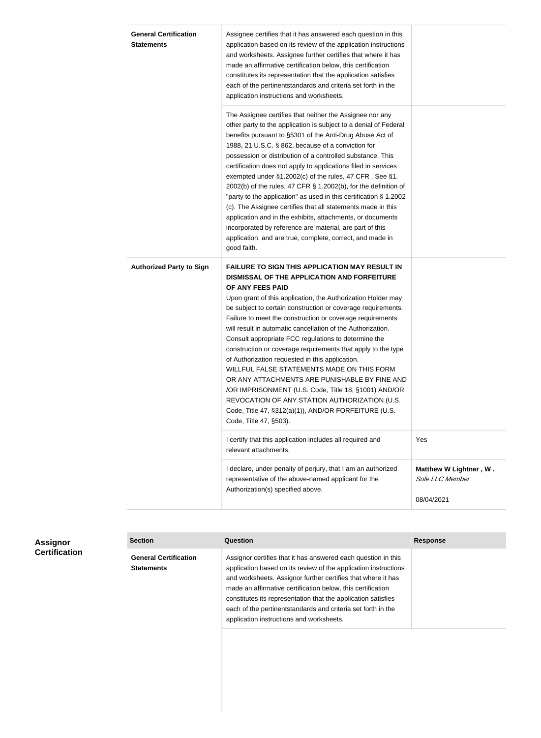| <b>General Certification</b><br><b>Statements</b> | Assignee certifies that it has answered each question in this<br>application based on its review of the application instructions<br>and worksheets. Assignee further certifies that where it has<br>made an affirmative certification below, this certification<br>constitutes its representation that the application satisfies<br>each of the pertinentstandards and criteria set forth in the<br>application instructions and worksheets.                                                                                                                                                                                                                                                                                                                                                                                                              |                                                         |
|---------------------------------------------------|-----------------------------------------------------------------------------------------------------------------------------------------------------------------------------------------------------------------------------------------------------------------------------------------------------------------------------------------------------------------------------------------------------------------------------------------------------------------------------------------------------------------------------------------------------------------------------------------------------------------------------------------------------------------------------------------------------------------------------------------------------------------------------------------------------------------------------------------------------------|---------------------------------------------------------|
|                                                   | The Assignee certifies that neither the Assignee nor any<br>other party to the application is subject to a denial of Federal<br>benefits pursuant to §5301 of the Anti-Drug Abuse Act of<br>1988, 21 U.S.C. § 862, because of a conviction for<br>possession or distribution of a controlled substance. This<br>certification does not apply to applications filed in services<br>exempted under §1.2002(c) of the rules, 47 CFR. See §1.<br>2002(b) of the rules, 47 CFR § 1.2002(b), for the definition of<br>"party to the application" as used in this certification § 1.2002<br>(c). The Assignee certifies that all statements made in this<br>application and in the exhibits, attachments, or documents<br>incorporated by reference are material, are part of this<br>application, and are true, complete, correct, and made in<br>good faith.   |                                                         |
| <b>Authorized Party to Sign</b>                   | <b>FAILURE TO SIGN THIS APPLICATION MAY RESULT IN</b><br>DISMISSAL OF THE APPLICATION AND FORFEITURE<br>OF ANY FEES PAID<br>Upon grant of this application, the Authorization Holder may<br>be subject to certain construction or coverage requirements.<br>Failure to meet the construction or coverage requirements<br>will result in automatic cancellation of the Authorization.<br>Consult appropriate FCC regulations to determine the<br>construction or coverage requirements that apply to the type<br>of Authorization requested in this application.<br>WILLFUL FALSE STATEMENTS MADE ON THIS FORM<br>OR ANY ATTACHMENTS ARE PUNISHABLE BY FINE AND<br>/OR IMPRISONMENT (U.S. Code, Title 18, §1001) AND/OR<br>REVOCATION OF ANY STATION AUTHORIZATION (U.S.<br>Code, Title 47, §312(a)(1)), AND/OR FORFEITURE (U.S.<br>Code, Title 47, §503). |                                                         |
|                                                   | I certify that this application includes all required and<br>relevant attachments.                                                                                                                                                                                                                                                                                                                                                                                                                                                                                                                                                                                                                                                                                                                                                                        | Yes                                                     |
|                                                   | I declare, under penalty of perjury, that I am an authorized<br>representative of the above-named applicant for the<br>Authorization(s) specified above.                                                                                                                                                                                                                                                                                                                                                                                                                                                                                                                                                                                                                                                                                                  | Matthew W Lightner, W.<br>Sole LLC Member<br>08/04/2021 |
|                                                   |                                                                                                                                                                                                                                                                                                                                                                                                                                                                                                                                                                                                                                                                                                                                                                                                                                                           |                                                         |

| <b>Assignor</b><br><b>Certification</b> | <b>Section</b>                                    | Question                                                                                                                                                                                                                                                                                                                                                                                                                                     | Response |
|-----------------------------------------|---------------------------------------------------|----------------------------------------------------------------------------------------------------------------------------------------------------------------------------------------------------------------------------------------------------------------------------------------------------------------------------------------------------------------------------------------------------------------------------------------------|----------|
|                                         | <b>General Certification</b><br><b>Statements</b> | Assignor certifies that it has answered each question in this<br>application based on its review of the application instructions<br>and worksheets. Assignor further certifies that where it has<br>made an affirmative certification below, this certification<br>constitutes its representation that the application satisfies<br>each of the pertinentstandards and criteria set forth in the<br>application instructions and worksheets. |          |
|                                         |                                                   |                                                                                                                                                                                                                                                                                                                                                                                                                                              |          |